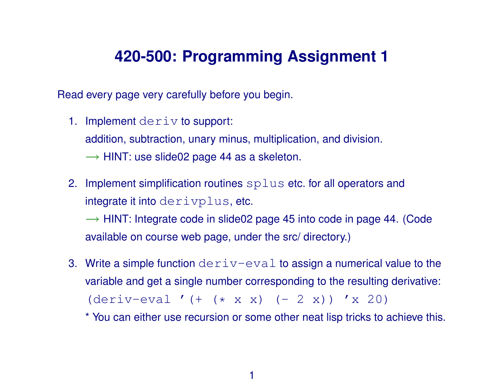### **420-500: Programming Assignment 1**

Read every page very carefully before you begin.

1. Implement deriv to support:

addition, subtraction, unary minus, multiplication, and division.

- $\rightarrow$  HINT: use slide02 page 44 as a skeleton.
- 2. Implement simplification routines splus etc. for all operators and integrate it into derivplus, etc.

 $\rightarrow$  HINT: Integrate code in slide02 page 45 into code in page 44. (Code available on course web page, under the src/ directory.)

3. Write a simple function  $deriv-eval$  to assign a numerical value to the variable and get a single number corresponding to the resulting derivative:  $(deriv-eval ' (+ ( * x x) (- 2 x)) 'x 20)$ 

\* You can either use recursion or some other neat lisp tricks to achieve this.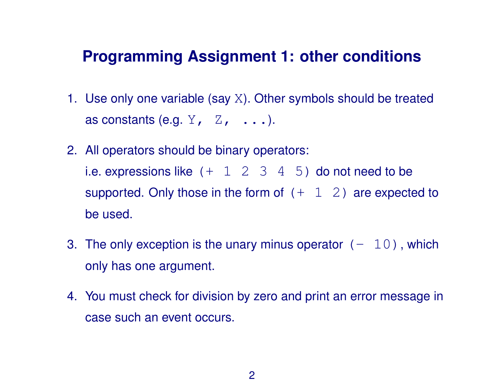#### **Programming Assignment 1: other conditions**

- 1. Use only one variable (say X). Other symbols should be treated as constants (e.g.  $Y$ ,  $Z$ ,  $\ldots$ ).
- 2. All operators should be binary operators: i.e. expressions like  $(+ 1 2 3 4 5)$  do not need to be supported. Only those in the form of  $(+ 1 2)$  are expected to be used.
- 3. The only exception is the unary minus operator  $(-10)$ , which only has one argument.
- 4. You must check for division by zero and print an error message in case such an event occurs.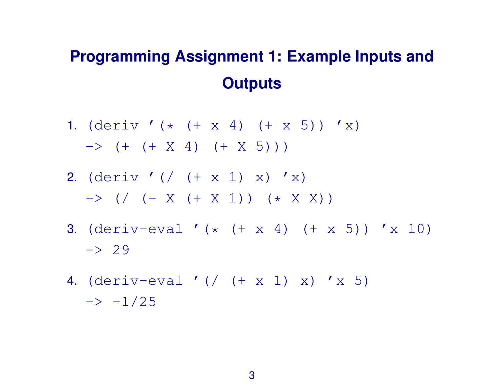# **Programming Assignment 1: Example Inputs and Outputs**

- 1. (deriv '(\* (+ x 4) (+ x 5)) 'x)  $\rightarrow$  (+ (+ X 4) (+ X 5)))
- 2. (deriv '(/ (+ x 1) x) 'x)  $\rightarrow$  (/ (- X (+ X 1)) (\* X X))
- 3. (deriv-eval '(\*  $(+ x 4)$   $(+ x 5)$ ) 'x 10)  $\rightarrow 29$
- 4. (deriv-eval '(/ (+ x 1) x) 'x 5)  $\rightarrow -1/25$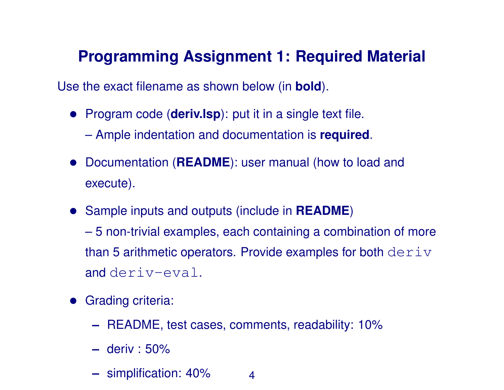## **Programming Assignment 1: Required Material**

Use the exact filename as shown below (in **bold**).

- Program code (**deriv.lsp**): put it in a single text file.
	- Ample indentation and documentation is **required**.
- Documentation (**README**): user manual (how to load and execute).
- Sample inputs and outputs (include in **README**) – 5 non-trivial examples, each containing a combination of more than 5 arithmetic operators. Provide examples for both  $deriv$ and deriv-eval.
- Grading criteria:
	- **–** README, test cases, comments, readability: 10%
	- **–** deriv : 50%
	- **–** simplification: 40% 4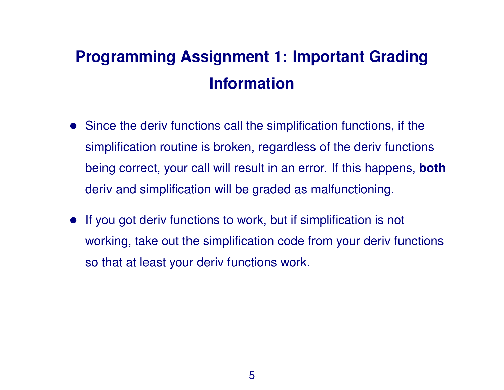# **Programming Assignment 1: Important Grading Information**

- Since the deriv functions call the simplification functions, if the simplification routine is broken, regardless of the deriv functions being correct, your call will result in an error. If this happens, **both** deriv and simplification will be graded as malfunctioning.
- If you got deriv functions to work, but if simplification is not working, take out the simplification code from your deriv functions so that at least your deriv functions work.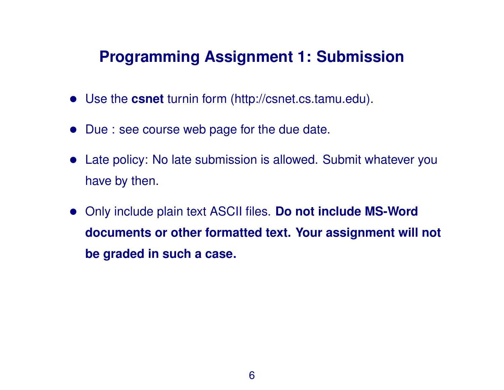### **Programming Assignment 1: Submission**

- Use the **csnet** turnin form (http://csnet.cs.tamu.edu).
- Due : see course web page for the due date.
- Late policy: No late submission is allowed. Submit whatever you have by then.
- Only include plain text ASCII files. **Do not include MS-Word documents or other formatted text. Your assignment will not be graded in such a case.**